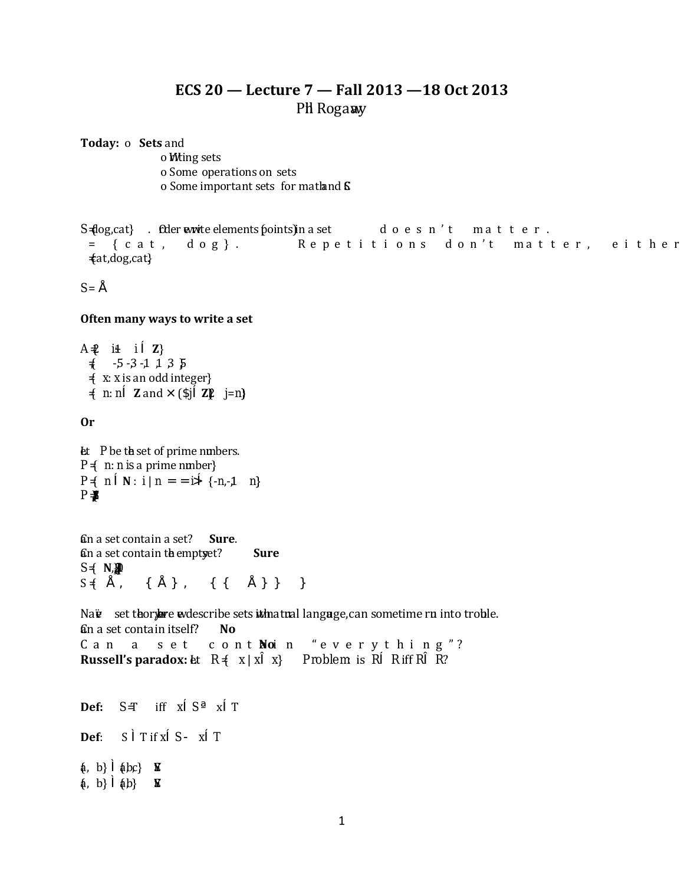## **ECS 20 — Lecture 7 — Fall 2013 —18 Oct 2013** Phil Rogaway

**Today:** o **Sets** and

o *Witing sets* o Some operations on sets o Some important sets for math and  $\mathsf S$ 

*S*  $\lbrace \text{log,cat} \rbrace$  . Order evolvide elements (points) in a set doesn't matter. = {cat, dog}. Repetitions don't matter, either:  $\{at, dog, cat\}$ 

 $S = i$ 5

#### **Often many ways to write a set**

*A* = {2 *i*+1: *i* **Z**}  $\frac{1}{2}$  -5-3-1, 1, 3, 5 = { *x*: *x* is an odd integer}  $\neq$  *n*:  $n^{\odot}$  **Z** and <sup>3</sup> ( $\check{y}^{\odot}$ **Z** $\cancel{p}$  *j*=*n*)

**Or**

5

Let *P* be the set of prime numbers.  $P \nless n$ : *n is* a prime number }  $P \nless 1$   $P \nless 2$   $P \nless 1$   $P \nless 1$   $P \nless 2$   $P \nless 1$   $P \nless 1$  $P$   $\frac{1}{2}$ 

Can a set contain a set? **Sure**. Can a set contain the emptyset? **Sure**  $S \neq N$ ,  $\mathbb{Z}$  $S \{ i \in \mathbb{Z} \mid 0 \in Q \mid Z \cap^{\infty} Q \mid Q \neq 0 \}$ 

Naüve set theory are undescribe sets internatural language, can sometime run into trouble. Can a set contain itself? **No** Can a set contain "everything"? **No Russell's paradox:** Let  $R \neq x | x^a x$ } Problem is  $R^{\odot} R$  iff  $R^a R$ ? t, t, **Def:**  $S = \inf \{ x \in S \}$   $x \in T$ **Def**:  $S^{\prime\prime}$  T if  $x \odot S$ ,  $x \odot T$  ${a, b}$   ${abc}$  **E**  ${a, b}$   ${ab}$   $\bf{\overline{s}}$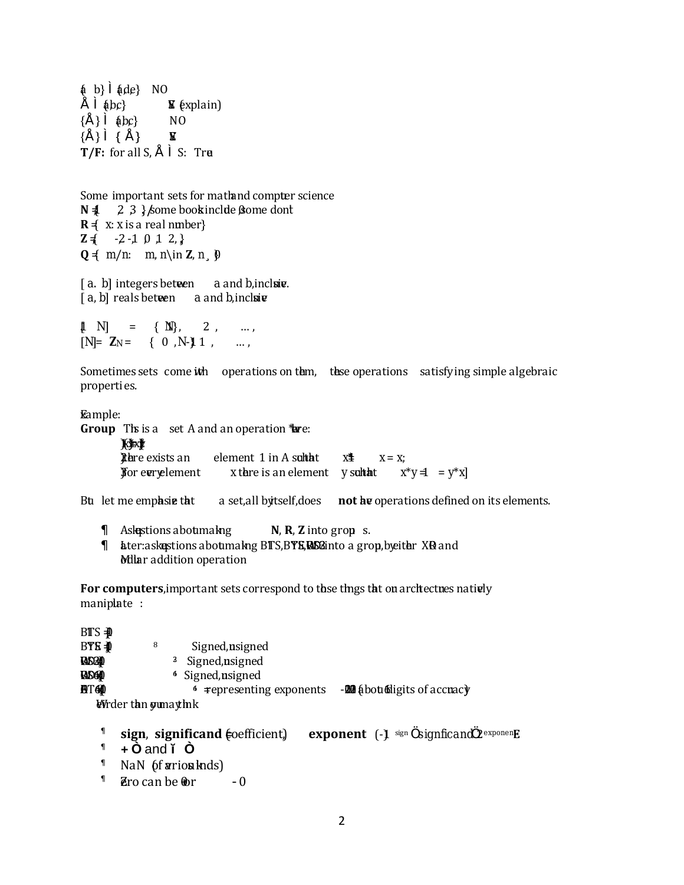${a}$  b}  ${a}$   ${a}$ de} NO  $i \stackrel{\text{a}}{=} \{abc\}$  **E**  $\{explain\}$  ${i}$   ${abc}$  NO  ${i}$   $}$   ${i}$   ${}$   ${i}$   $}$   $\mathbb{E}$ **T/F:** for all  $S_{i,j}$   $\cong$  S: True

Some important sets for math and compter science  $N = 2, 3$  } *k* ome book include 0, some dont  $R \nless x \times x$  is a real number }  $\mathbf{Z} \{ -2, 1, 0, 1, 2, \}$  $Q \nless m/n: m, n \in \mathbb{Z}, n' \nsubseteq \mathbb{Q}$ 

 $[a, b]$  integers between *a* and *b*, incluive.  $[a, b]$  reals between *a* and *b*, inclusive

 $[1 \quad N] = \{1, 2N\}$ ...  $[N] = Z_N = \{0, 1, N\}$ 

Sometimes sets come ith operations on them, these operations satisfying simple algebraic properti es.

**Eample:** 

**Group** This is a set A and an operation twee:

 $\mathbb{X}$ \* $\mathbb{Y}$ **20** Pere exists an element 1 in A subtatrix  $x^*$   $x = x$ ; 300 **30** For every element *x* there is an element *y* subtacht  $x^*y = y^*x$ 

But let me emplasize that a set, all by tself, does **not** by operations defined on its elements.

 $\langle$  Ask estions about making **N**, **R**, **Z** into grop s.

 $\leftarrow$  ater: askestions aboumaking BITS, BYE, ROS2 into a grop, by either XR and Muar addition operation

For computers, important sets correspond to the things that our architectures natively maniplate :

| B∏S ∯D        |                                                                                             |
|---------------|---------------------------------------------------------------------------------------------|
| BYS ⊕         | Signed, asigned<br>8                                                                        |
| RAS24D        | <sup>3</sup> Signed, asigned                                                                |
| <b>RASGED</b> | <sup>4</sup> Signed, asigned                                                                |
| n tead        | -000 abourdigits of accracy<br>$4$ $\equiv$ epresenting exponents                           |
|               | Wirder tan gumaytmk                                                                         |
|               |                                                                                             |
|               | sign, significand (sefficient)<br><b>exponent</b> $(-)$ sign $^2$ signficand $2^{exponen}E$ |
|               | $\blacksquare$ $\blacksquare$ $\blacksquare$                                                |

- <sup>x</sup> **+**  and **í**
- $\sim$  NaN (of arios knds)
- $\frac{1}{2}$   $\frac{1}{2}$   $\frac{1}{2}$   $\frac{1}{2}$   $\frac{1}{2}$   $\frac{1}{2}$   $\frac{1}{2}$   $\frac{1}{2}$   $\frac{1}{2}$   $\frac{1}{2}$   $\frac{1}{2}$   $\frac{1}{2}$   $\frac{1}{2}$   $\frac{1}{2}$   $\frac{1}{2}$   $\frac{1}{2}$   $\frac{1}{2}$   $\frac{1}{2}$   $\frac{1}{2}$   $\frac{1}{2}$   $\frac{1}{2}$   $\frac{1}{2}$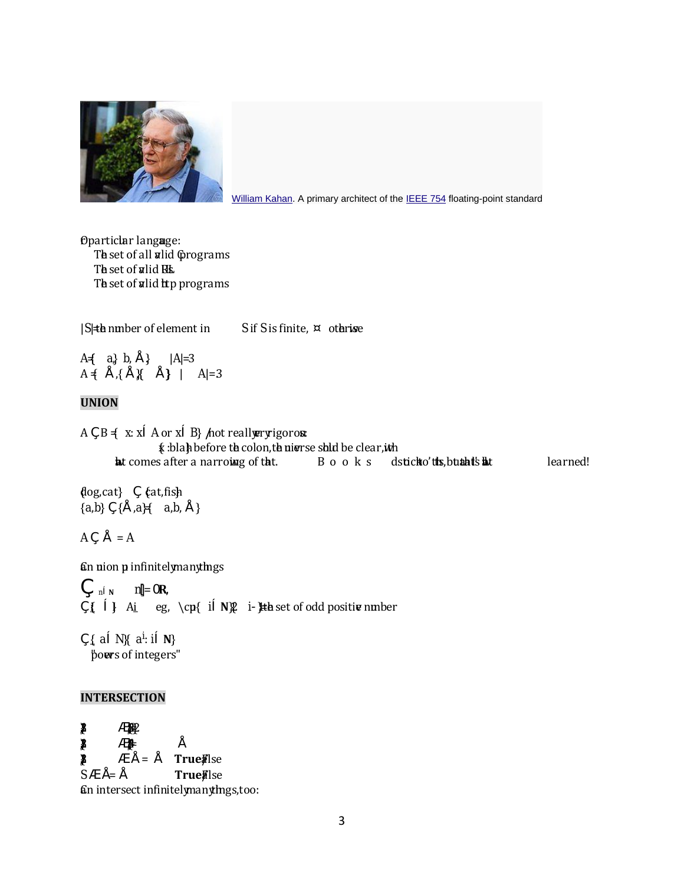

[William Kahan.](http://en.wikipedia.org/wiki/William_Kahan) A primary architect of the [IEEE 754](http://en.wikipedia.org/wiki/IEEE_754) floating-point standard

Oparticlar language: The set of all alid Corograms The set of alid B<sub>k</sub> The set of alid htp programs

| *S*| = the number of element in *S* if *S* is finite, fotherwise

 $A = \{ a \} b_i \}$  |  $A = 3$ A  $\{$  |  $\{$  |  $\{$  |  $\{$  |  $\}$  |  $A$ |=3.

## **UNION**

A £ B  $\leq x$ :  $x \odot A$  or  $x \odot B$ } *h*ot really ery igorous  $\mathbf{\hat{x}}$  : blah before the colon, the universe should be clear, it the but comes after a narrowing of that. Books don't all stick to this, but that show that learned!

 ${dog, cat}$   $E$   ${cat, fish}$  ${a,b} \in \{j, a\}$   ${a,b, j}$ 

 $A \nightharpoonup i = A$ 

*an nion p infinitely many things* 

 $f(x) = \frac{1}{2} \int_0^{\infty} \frac{1}{x} \, dx$  $f_{i} \oplus f_{i}$  A<sub>i</sub> eq, \cp{ *i*<sup>©</sup>N}  $2$  *i*! He set of odd positive number

 $E \nsubseteq a^{\textcircled{c}} N$   $a^i$ :  $i^{\textcircled{c}} N$ "powers of integers"

## **INTERSECTION**

 ${2}$   ${2}$  ${1}$   ${1}$   ${1}$   ${1}$   ${1}$   ${1}$   ${1}$   ${1}$   ${1}$   ${1}$   ${1}$   ${1}$   ${1}$   ${1}$   ${1}$   ${1}$   ${1}$   ${1}$   ${1}$   ${1}$   ${1}$   ${1}$   ${1}$   ${1}$   ${1}$   ${1}$   ${1}$   ${1}$   ${1}$   ${1}$   ${1}$   ${1}$   ${1}$   ${1}$   ${1}$   ${1}$   ${1}$  $\mathbb{R}$   $\downarrow$   $\downarrow$   $=$  **True** $\mathbb{R}$ lse  $S\mathfrak{C}$  **i** = **i TrueFalse** Gn intersect infinitely many things, too: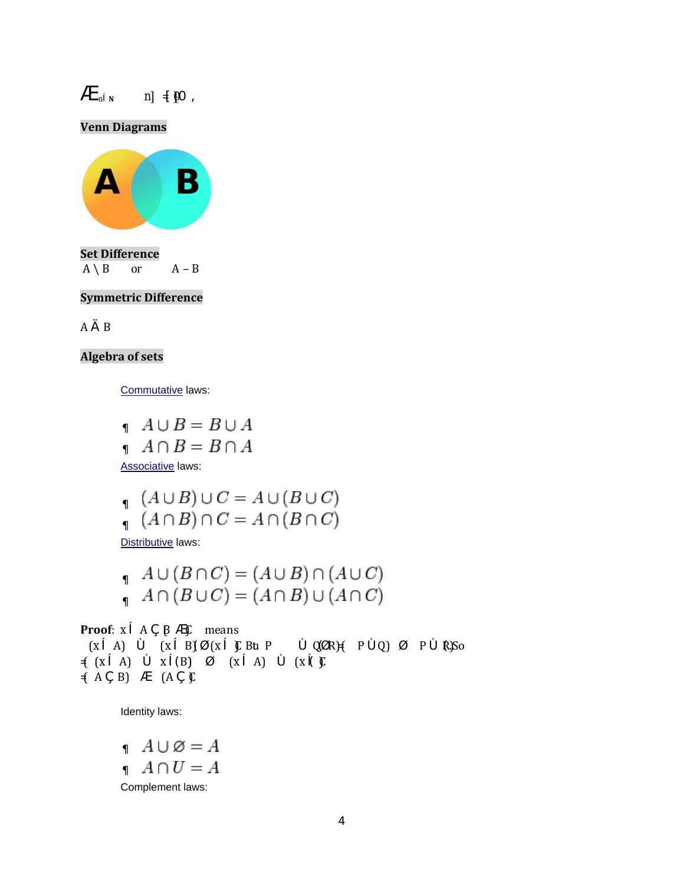$\oint_{\mathbb{R}}$   $\int_{\mathbb{R}}$   $\int_{\mathbb{R}}$   $\int_{\mathbb{R}}$   $\int_{\mathbb{R}}$   $\int_{\mathbb{R}}$   $\int_{\mathbb{R}}$   $\int_{\mathbb{R}}$   $\int_{\mathbb{R}}$   $\int_{\mathbb{R}}$   $\int_{\mathbb{R}}$   $\int_{\mathbb{R}}$   $\int_{\mathbb{R}}$   $\int_{\mathbb{R}}$   $\int_{\mathbb{R}}$   $\int_{\mathbb{R}}$   $\int_{\mathbb{R}}$   $\int_{\mathbb{R}}$   $\int_{\$ 

**Venn Diagrams**



**Set Difference**  $A \setminus B$  or  $A - B$ 

#### **Symmetric Difference**

AŸB

## **Algebra of sets**

[Commutative](http://en.wikipedia.org/wiki/Commutative_operation) laws:

$$
A \cup B = B \cup A
$$
  

$$
A \cap B = B \cap A
$$

**[Associative](http://en.wikipedia.org/wiki/Associativity)** laws:

$$
(A \cup B) \cup C = A \cup (B \cup C)
$$
  

$$
(A \cap B) \cap C = A \cap (B \cap C)
$$

[Distributive](http://en.wikipedia.org/wiki/Distributivity) laws:

$$
A \cup (B \cap C) = (A \cup B) \cap (A \cup C)
$$
  

$$
A \cap (B \cup C) = (A \cap B) \cup (A \cap C)
$$

**Proof**:  $x \n\circ A \n\in B \n\circ C$  means  $(x$  © A) μ (*x* © B)fl (*x* © )C Bu P μ OfIR) $\neq$  P μ O) Γ P μ R)So = ( (*x* A) *x* B) (*x* A) (*x* C)  $( A E B) \oplus (A E C)$ 

Identity laws:

 $\qquad \quad A\cup\varnothing=A$  $\left\langle A \cap U = A \right\rangle$ Complement laws: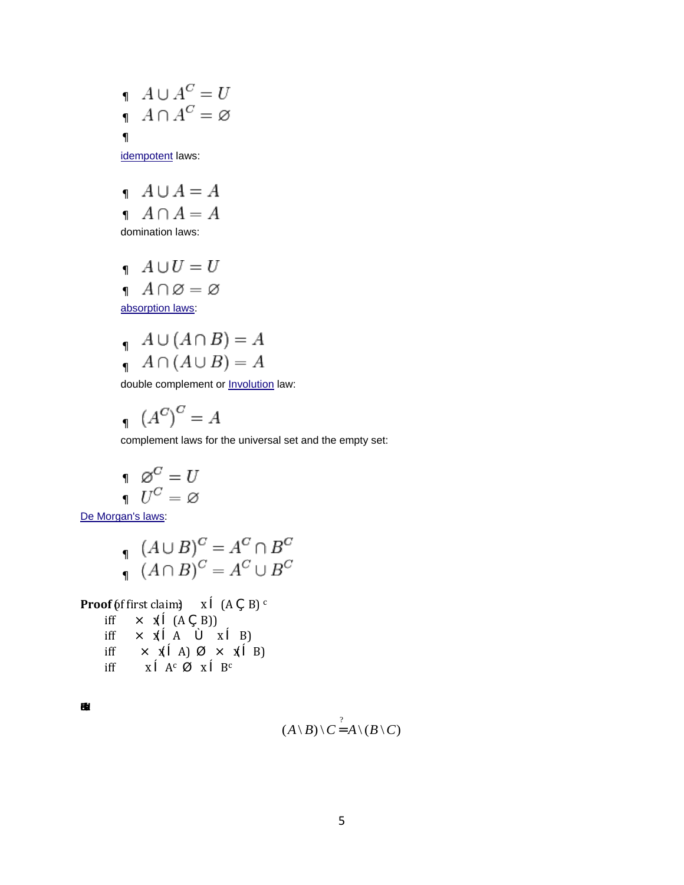$$
\begin{array}{l}\n\cdot & A \cup A^C = U \\
\cdot & A \cap A^C = \varnothing\n\end{array}
$$

[idempotent](http://en.wikipedia.org/wiki/Idempotent) laws:

$$
A \cup A = A
$$
  

$$
A \cap A = A
$$
  
domination laws:

 $\mathcal{A} \cup U = U$  $\mathcal{A} \cap \varnothing = \varnothing$ [absorption laws:](http://en.wikipedia.org/wiki/Absorption_law)

$$
A \cup (A \cap B) = A
$$
  

$$
A \cap (A \cup B) = A
$$

double complement or **[Involution](http://en.wikipedia.org/wiki/Involution_(mathematics))** law:

$$
A^{C} \big)^{C} = A
$$

complement laws for the universal set and the empty set:

$$
\begin{array}{cc} & \varnothing^C = U \\ & U^C = \varnothing \end{array}
$$

[De Morgan's laws:](http://en.wikipedia.org/wiki/De_Morgan%27s_laws)

$$
(A \cup B)^C = A^C \cap B^C
$$
  

$$
(A \cap B)^C = A^C \cup B^C
$$

**Proof** (of first claim) 
$$
x \circ (A \in B)
$$

iff  $\mathcal{F}(\mathbb{C}^n(A \cup B))$ iff  $x \in A$   $\downarrow x \in B$ 

$$
\text{iff} \qquad 3 \quad \text{f} \, \text{O} \, \text{A)} \qquad 3 \quad \text{f} \, \text{O} \, \text{B}
$$

$$
\text{iff} \qquad x \, \textcirc \, \text{A}^c \qquad x \, \textcirc \, \text{B}^c
$$

**Be** 

$$
(A \setminus B) \setminus C \overset{?}{1} A \setminus (B \setminus C)
$$